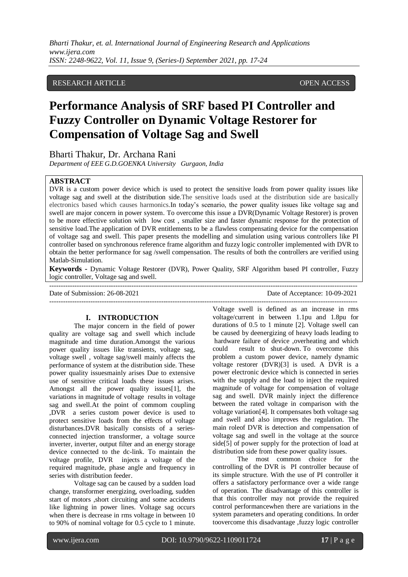# RESEARCH ARTICLE **CONSERVERS** OPEN ACCESS

# **Performance Analysis of SRF based PI Controller and Fuzzy Controller on Dynamic Voltage Restorer for Compensation of Voltage Sag and Swell**

Bharti Thakur, Dr. Archana Rani

*Department of EEE G.D.GOENKA University Gurgaon, India*

### **ABSTRACT**

DVR is a custom power device which is used to protect the sensitive loads from power quality issues like voltage sag and swell at the distribution side.The sensitive loads used at the distribution side are basically electronics based which causes harmonics.In today's scenario, the power quality issues like voltage sag and swell are major concern in power system. To overcome this issue a DVR(Dynamic Voltage Restorer) is proven to be more effective solution with low cost , smaller size and faster dynamic response for the protection of sensitive load.The application of DVR entitlements to be a flawless compensating device for the compensation of voltage sag and swell. This paper presents the modelling and simulation using various controllers like PI controller based on synchronous reference frame algorithm and fuzzy logic controller implemented with DVR to obtain the better performance for sag /swell compensation. The results of both the controllers are verified using Matlab-Simulation.

**Keywords -** Dynamic Voltage Restorer (DVR), Power Quality, SRF Algorithm based PI controller, Fuzzy logic controller, Voltage sag and swell. ---------------------------------------------------------------------------------------------------------------------------------------

Date of Submission: 26-08-2021 Date of Acceptance: 10-09-2021

---------------------------------------------------------------------------------------------------------------------------------------

#### **I. INTRODUCTION**

The major concern in the field of power quality are voltage sag and swell which include magnitude and time duration.Amongst the various power quality issues like transients, voltage sag, voltage swell , voltage sag/swell mainly affects the performance of system at the distribution side. These power quality issuesmainly arises Due to extensive use of sensitive critical loads these issues arises. Amongst all the power quality issues[1], the variations in magnitude of voltage results in voltage sag and swell.At the point of commom coupling ,DVR a series custom power device is used to protect sensitive loads from the effects of voltage disturbances.DVR basically consists of a seriesconnected injection transformer, a voltage source inverter, inverter, output filter and an energy storage device connected to the dc-link. To maintain the voltage profile, DVR injects a voltage of the required magnitude, phase angle and frequency in series with distribution feeder.

Voltage sag can be caused by a sudden load change, transformer energizing, overloading, sudden start of motors ,short circuiting and some accidents like lightning in power lines. Voltage sag occurs when there is decrease in rms voltage in between 10 to 90% of nominal voltage for 0.5 cycle to 1 minute.

Voltage swell is defined as an increase in rms voltage/current in between 1.1pu and 1.8pu for durations of 0.5 to 1 minute [2]. Voltage swell can be caused by deenergizing of heavy loads leading to hardware failure of device ,overheating and which could result to shut-down. To overcome this problem a custom power device, namely dynamic voltage restorer (DVR)[3] is used. A DVR is a power electronic device which is connected in series with the supply and the load to inject the required magnitude of voltage for compensation of voltage sag and swell. DVR mainly inject the difference between the rated voltage in comparison with the voltage variation[4]. It compensates both voltage sag and swell and also improves the regulation. The main roleof DVR is detection and compensation of voltage sag and swell in the voltage at the source side[5] of power supply for the protection of load at distribution side from these power quality issues.

The most common choice for the controlling of the DVR is PI controller because of its simple structure. With the use of PI controller it offers a satisfactory performance over a wide range of operation. The disadvantage of this controller is that this controller may not provide the required control performancewhen there are variations in the system parameters and operating conditions. In order toovercome this disadvantage ,fuzzy logic controller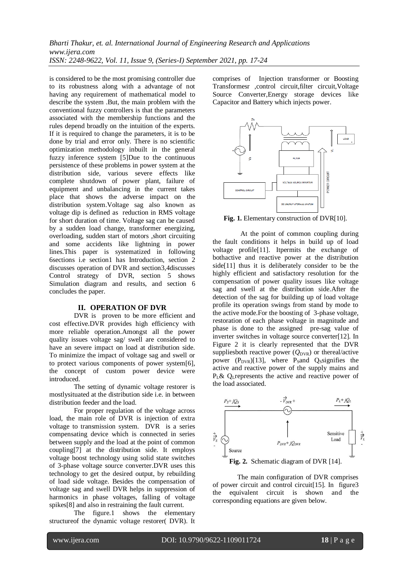is considered to be the most promising controller due to its robustness along with a advantage of not having any requirement of mathematical model to describe the system .But, the main problem with the conventional fuzzy controllers is that the parameters associated with the membership functions and the rules depend broadly on the intuition of the experts. If it is required to change the parameters, it is to be done by trial and error only. There is no scientific optimization methodology inbuilt in the general fuzzy inference system [5]Due to the continuous persistence of these problems in power system at the distribution side, various severe effects like complete shutdown of power plant, failure of equipment and unbalancing in the current takes place that shows the adverse impact on the distribution system.Voltage sag also known as voltage dip is defined as reduction in RMS voltage for short duration of time. Voltage sag can be caused by a sudden load change, transformer energizing, overloading, sudden start of motors ,short circuiting and some accidents like lightning in power lines.This paper is systematized in following 6sections i.e section1 has Introduction, section 2 discusses operation of DVR and section3,4discusses Control strategy of DVR, section 5 shows Simulation diagram and results, and section 6 concludes the paper.

#### **II. OPERATION OF DVR**

DVR is proven to be more efficient and cost effective.DVR provides high efficiency with more reliable operation.Amongst all the power quality issues voltage sag/ swell are considered to have an severe impact on load at distribution side. To minimize the impact of voltage sag and swell or to protect various components of power system[6], the concept of custom power device were introduced.

The setting of dynamic voltage restorer is mostlysituated at the distribution side i.e. in between distribution feeder and the load.

For proper regulation of the voltage across load, the main role of DVR is injection of extra voltage to transmission system. DVR is a series compensating device which is connected in series between supply and the load at the point of common coupling[7] at the distribution side. It employs voltage boost technology using solid state switches of 3-phase voltage source converter.DVR uses this technology to get the desired output, by rebuilding of load side voltage. Besides the compensation of voltage sag and swell DVR helps in suppression of harmonics in phase voltages, falling of voltage spikes[8] and also in restraining the fault current.

The figure.1 shows the elementary structureof the dynamic voltage restorer( DVR). It comprises of Injection transformer or Boosting Transformesr ,control circuit,filter circuit,Voltage Source Converter,Energy storage devices like Capacitor and Battery which injects power.



**Fig. 1.** Elementary construction of DVR[10].

At the point of common coupling during the fault conditions it helps in build up of load voltage profile[11]. Itpermits the exchange of bothactive and reactive power at the distribution side<sup>[11]</sup> thus it is deliberately consider to be the highly efficient and satisfactory resolution for the compensation of power quality issues like voltage sag and swell at the distribution side.After the detection of the sag for building up of load voltage profile its operation swings from stand by mode to the active mode.For the boosting of 3-phase voltage, restoration of each phase voltage in magnitude and phase is done to the assigned pre-sag value of inverter switches in voltage source converter[12]. In Figure 2 it is clearly represented that the DVR suppliesboth reactive power  $(Q_{DVR})$  or thereal/active power  $(P_{DVR})$ [13], where  $P_S$  and  $Q_S$  signifies the active and reactive power of the supply mains and P<sub>L</sub>& Q<sub>L</sub>represents the active and reactive power of the load associated.



The main configuration of DVR comprises of power circuit and control circuit[15]. In figure3 the equivalent circuit is shown and the corresponding equations are given below.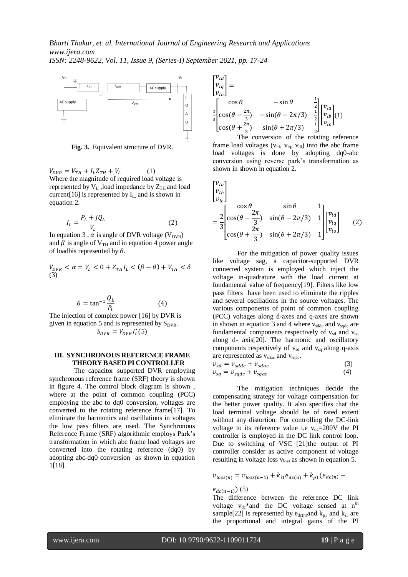

**Fig. 3.** Equivalent structure of DVR.

 $V_{DVR} = V_{TH} + I_L Z_{TH} + V_L$  (1) Where the magnitude of required load voltage is represented by  $V_L$ , load impedance by  $Z_{TH}$  and load current [16] is represented by  $I_L$  and is shown in equation 2.

$$
I_L = \frac{P_L + jQ_L}{V_L} \tag{2}
$$

In equation 3,  $\alpha$  is angle of DVR voltage (V<sub>DVR</sub>) and  $\beta$  is angle of V<sub>TH</sub> and in equation 4 power angle of loadbis represented by  $\theta$ .

$$
V_{DVR} < \alpha = V_L < 0 + Z_{TH} I_L < (\beta - \theta) + V_{TH} < \delta
$$
\n
$$
\tag{3}
$$

$$
\theta = \tan^{-1} \frac{Q_L}{P_L} \tag{4}
$$

The injection of complex power [16] by DVR is given in equation 5 and is represented by  $S_{DVR}$ .  $S_{DVR} = V_{DVR}I_L^*$ (

#### **III. SYNCHRONOUS REFERENCE FRAME THEORY BASED PI CONTROLLER**

The capacitor supported DVR employing synchronous reference frame (SRF) theory is shown in figure 4. The control block diagram is shown , where at the point of common coupling (PCC) employing the abc to dq0 conversion, voltages are converted to the rotating reference frame[17]. To eliminate the harmonics and oscillations in voltages the low pass filters are used. The Synchronous Reference Frame (SRF) algorithmic employs Park's transformation in which abc frame load voltages are converted into the rotating reference (dq0) by adopting abc-dq0 conversion as shown in equation 1[18].

$$
\begin{bmatrix} v_{ld} \\ v_{lq} \\ v_{lo} \end{bmatrix} = \begin{bmatrix} \cos \theta & -\sin \theta & \frac{1}{2} \\ \cos(\theta - \frac{2\pi}{3}) & -\sin(\theta - 2\pi/3) & \frac{1}{2} \\ \cos(\theta + \frac{2\pi}{3}) & \sin(\theta + 2\pi/3) & \frac{1}{2} \end{bmatrix} \begin{bmatrix} v_{la} \\ v_{lb} \\ v_{lc} \end{bmatrix} (1)
$$

The conversion of the rotating reference frame load voltages ( $v_{\text{ld}}$ ,  $v_{\text{lq}}$ ,  $v_{\text{l0}}$ ) into the abc frame load voltages is done by adopting dq0-abc conversion using reverse park's transformation as shown in shown in equation 2.

$$
\begin{bmatrix} v_{la} \\ v_{lb} \\ v_{lc} \end{bmatrix}
$$
  
=  $\frac{2}{3} \begin{bmatrix} \cos \theta & \sin \theta & 1 \\ \cos(\theta - \frac{2\pi}{3}) & \sin(\theta - 2\pi/3) & 1 \\ \cos(\theta + \frac{2\pi}{3}) & \sin(\theta + 2\pi/3) & 1 \end{bmatrix} \begin{bmatrix} v_{ld} \\ v_{la} \end{bmatrix}$  (2)

For the mitigation of power quality issues like voltage sag, a capacitor-supported DVR connected system is employed which inject the voltage in-quadrature with the load current at fundamental value of frequency[19]. Filters like low pass filters have been used to eliminate the ripples and several oscillations in the source voltages. The various components of point of common coupling (PCC) voltages along d-axes and q-axes are shown in shown in equation 3 and 4 where  $v_{\rm sddc}$  and  $v_{\rm sddc}$  are fundamental components respectively of  $v_{sd}$  and  $v_{sa}$ along d- axis[20]. The harmonic and oscillatory components respectively of  $v_{sd}$  and  $v_{sq}$  along q-axis are represented as  $v_{\text{sdac}}$  and  $v_{\text{sqac}}$ .

$$
\begin{aligned} v_{sd} &= v_{sddc} + v_{sdac} \\ v_{sa} &= v_{sadc} + v_{saac} \end{aligned} \tag{3}
$$

The mitigation techniques decide the compensating strategy for voltage compensation for the better power quality. It also specifies that the load terminal voltage should be of rated extent without any distortion. For controlling the DC-link voltage to its reference value i.e  $v_{dc}$ =200V the PI controller is employed in the DC link control loop. Due to switching of VSC [21]the output of PI controller consider as active component of voltage resulting in voltage loss  $v_{loss}$  as shown in equation 5.

$$
v_{loss(n)} = v_{loss(n-1)} + k_{i1}e_{dc(n)} + k_{p1}(e_{dc(n)} -
$$

#### $e_{dc(n-1)}(5)$

The difference between the reference DC link voltage  $v_{dc}$ <sup>\*</sup>and the DC voltage sensed at n<sup>th</sup> sample[22] is represented by  $e_{dc(n)}$  and  $k_{p1}$  and  $k_{i1}$  are the proportional and integral gains of the PI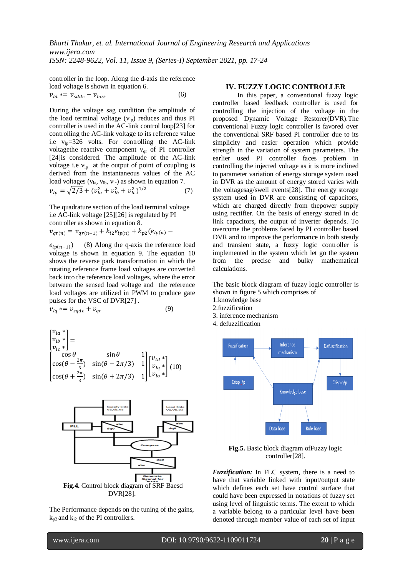controller in the loop. Along the d-axis the reference load voltage is shown in equation 6.

$$
v_{ld} \ast = v_{sddc} - v_{loss} \tag{6}
$$

During the voltage sag condition the amplitude of the load terminal voltage  $(v<sub>lp</sub>)$  reduces and thus PI controller is used in the AC-link control loop[23] for controlling the AC-link voltage to its reference value i.e  $v_{\text{ln}} = 326$  volts. For controlling the AC-link voltagethe reactive component  $v<sub>qr</sub>$  of PI controller [24]is considered. The amplitude of the AC-link voltage i.e  $v_{lp}$  at the output of point of coupling is derived from the instantaneous values of the AC load voltages ( $v_{la}$ ,  $v_{lb}$ ,  $v_{lc}$ ) as shown in equation 7.  $v_{lp} = \sqrt{2/3} + (v_{la}^2 + v_{lh}^2 + v_{lc}^2)^1$ (7)

The quadrature section of the load terminal voltage i.e AC-link voltage [25][26] is regulated by PI controller as shown in equation 8.

$$
v_{qr(n)} = v_{qr(n-1)} + k_{i2}e_{lp(n)} + k_{p2}(e_{lp(n)} -
$$

 $e_{lp(n-1)}$  (8) Along the q-axis the reference load voltage is shown in equation 9. The equation 10 shows the reverse park transformation in which the rotating reference frame load voltages are converted back into the reference load voltages, where the error between the sensed load voltage and the reference load voltages are utilized in PWM to produce gate pulses for the VSC of DVR[27] .

$$
v_{la} = v_{sadc} + v_{ar} \tag{9}
$$

$$
\begin{bmatrix} v_{la} * \\ v_{lb} * \\ v_{lc} * \end{bmatrix} = \begin{bmatrix} \cos \theta & \sin \theta & 1 \\ \cos(\theta - \frac{2\pi}{3}) & \sin(\theta - 2\pi/3) & 1 \\ \cos(\theta + \frac{2\pi}{3}) & \sin(\theta + 2\pi/3) & 1 \end{bmatrix} \begin{bmatrix} v_{ld} * \\ v_{lq} * \\ v_{lo} * \end{bmatrix} (10)
$$



The Performance depends on the tuning of the gains,  $k_{p2}$  and  $k_{i2}$  of the PI controllers.

## **IV. FUZZY LOGIC CONTROLLER**

In this paper, a conventional fuzzy logic controller based feedback controller is used for controlling the injection of the voltage in the proposed Dynamic Voltage Restorer(DVR).The conventional Fuzzy logic controller is favored over the conventional SRF based PI controller due to its simplicity and easier operation which provide strength in the variation of system parameters. The earlier used PI controller faces problem in controlling the injected voltage as it is more inclined to parameter variation of energy storage system used in DVR as the amount of energy stored varies with the voltagesag/swell events[28]. The energy storage system used in DVR are consisting of capacitors, which are charged directly from thepower supply using rectifier. On the basis of energy stored in dc link capacitors, the output of inverter depends. To overcome the problems faced by PI controller based DVR and to improve the performance in both steady and transient state, a fuzzy logic controller is implemented in the system which let go the system from the precise and bulky mathematical calculations.

The basic block diagram of fuzzy logic controller is shown in figure 5 which comprises of

- 1.knowledge base
- 2.fuzzification
- 3. inference mechanism
- 4. defuzzification



**Fig.5.** Basic block diagram ofFuzzy logic controller[28].

*Fuzzification:* In FLC system, there is a need to have that variable linked with input/output state which defines each set have control surface that could have been expressed in notations of fuzzy set using level of linguistic terms. The extent to which a variable belong to a particular level have been denoted through member value of each set of input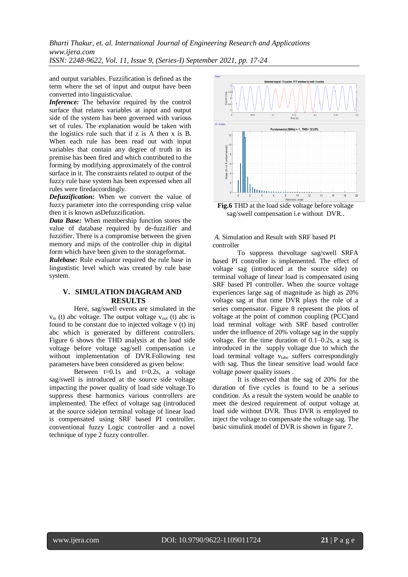and output variables. Fuzzification is defined as the term where the set of input and output have been converted into linguisticvalue.

*Inference:* The behavior required by the control surface that relates variables at input and output side of the system has been governed with various set of rules. The explanation would be taken with the logistics rule such that if z is A then x is B. When each rule has been read out with input variables that contain any degree of truth in its premise has been fired and which contributed to the forming by modifying approximately of the control surface in it. The constraints related to output of the fuzzy rule base system has been expressed when all rules were firedaccordingly.

*Defuzzification:* When we convert the value of fuzzy parameter into the corresponding crisp value then it is known asDefuzzification.

*Data Base:* When membership function stores the value of database required by de-fuzzifier and fuzzifier. There is a compromise between the given memory and mips of the controller chip in digital form which have been given to the storageformat.

*Rulebase:* Rule evaluator required the rule base in lingustistic level which was created by rule base system.

#### **V. SIMULATION DIAGRAM AND RESULTS**

Here, sag/swell events are simulated in the  $v_{in}$  (t) abc voltage. The output voltage  $v_{out}$  (t) abc is found to be constant due to injected voltage v (t) inj abc which is generated by different controllers. Figure 6 shows the THD analysis at the load side voltage before voltage sag/sell compensation i.e without implementation of DVR.Following test parameters have been considered as given below:

Between  $t=0.1s$  and  $t=0.2s$ , a voltage sag/swell is introduced at the source side voltage impacting the power quality of load side voltage.To suppress these harmonics various controllers are implemented. The effect of voltage sag (introduced at the source side)on terminal voltage of linear load is compensated using SRF based PI controller, conventional fuzzy Logic controller and a novel technique of type 2 fuzzy controller.



**Fig.6** THD at the load side voltage before voltage sag/swell compensation i.e without DVR..

### *A.* Simulation and Result with SRF based PI controller

To suppress thevoltage sag/swell SRFA based PI controller is implemented. The effect of voltage sag (introduced at the source side) on terminal voltage of linear load is compensated using SRF based PI controller. When the source voltage experiences large sag of magnitude as high as 20% voltage sag at that time DVR plays the role of a series compensator. Figure 8 represent the plots of voltage at the point of common coupling (PCC)and load terminal voltage with SRF based controller under the influence of 20% voltage sag in the supply voltage. For the time duration of 0.1–0.2s, a sag is introduced in the supply voltage due to which the load terminal voltage vlabc suffers correspondingly with sag. Thus the linear sensitive load would face voltage power quality issues .

It is observed that the sag of 20% for the duration of five cycles is found to be a serious condition. As a result the system would be unable to meet the desired requirement of output voltage at load side without DVR. Thus DVR is employed to inject the voltage to compensate the voltage sag. The basic simulink model of DVR is shown in figure 7.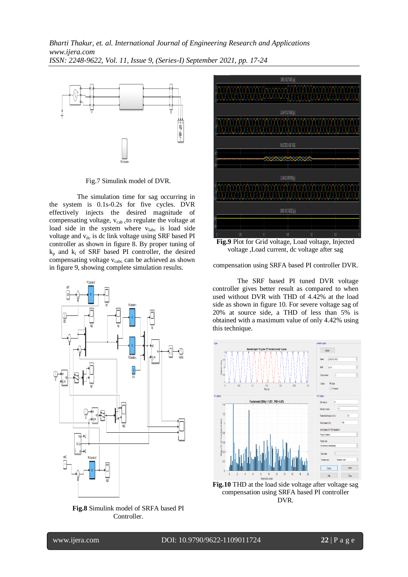

Fig.7 Simulink model of DVR.

The simulation time for sag occurring in the system is 0.1s-0.2s for five cycles. DVR effectively injects the desired magnitude of compensating voltage, v<sub>cab c</sub>to regulate the voltage at load side in the system where vlabc is load side voltage and  $v_{dc}$  is dc link voltage using SRF based PI controller as shown in figure 8. By proper tuning of  $k<sub>p</sub>$  and  $k<sub>i</sub>$  of SRF based PI controller, the desired compensating voltage  $v_{\text{cabc}}$  can be achieved as shown in figure 9, showing complete simulation results.



**Fig.8** Simulink model of SRFA based PI Controller.



**Fig.9** Plot for Grid voltage, Load voltage, Injected voltage ,Load current, dc voltage after sag

compensation using SRFA based PI controller DVR.

The SRF based PI tuned DVR voltage controller gives better result as compared to when used without DVR with THD of 4.42% at the load side as shown in figure 10. For severe voltage sag of 20% at source side, a THD of less than 5% is obtained with a maximum value of only 4.42% using this technique.





l

www.ijera.com DOI: 10.9790/9622-1109011724 **22** | P a g e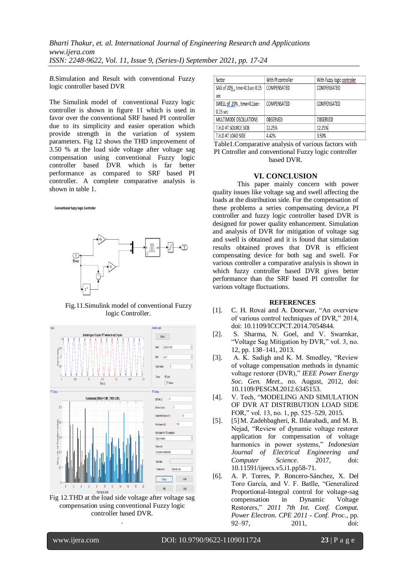*B.*Simulation and Result with conventional Fuzzy logic controller based DVR

The Simulink model of conventional Fuzzy logic controller is shown in figure 11 which is used in favor over the conventional SRF based PI controller due to its simplicity and easier operation which provide strength in the variation of system parameters. Fig 12 shows the THD improvement of 3.50 % at the load side voltage after voltage sag compensation using conventional Fuzzy logic controller based DVR which is far better performance as compared to SRF based PI controller. A complete comparative analysis is shown in table 1.

#### Conventional fuzzy logic Controller



Fig.11.Simulink model of conventional Fuzzy logic Controller.



Fig 12.THD at the load side voltage after voltage sag compensation using conventional Fuzzy logic controller based DVR.

.

| factor                       | With PI controller | With Fuzzy logic controler |
|------------------------------|--------------------|----------------------------|
| SAG of 20%, time=0.1sec-0.15 | COMPENSATED        | COMPENSATED                |
| sec                          |                    |                            |
| SWELL of 20%, time=0.1sec-   | COMPENSATED        | COMPENSATED                |
| $0.15$ sec                   |                    |                            |
| MULTIMODE OSCILLATIONS       | OBSERVED           | OBSERVED                   |
| T.H.D AT SOURCE SIDE         | 12.25%             | 12.25%                     |
| T.H.D AT LOAD SIDE           | 4.42%              | 3.50%                      |

Table1.Comparative analysis of various factors with PI Cntroller and conventional Fuzzy logic controller based DVR.

#### **VI. CONCLUSION**

This paper mainly concern with power quality issues like voltage sag and swell affecting the loads at the distribution side. For the compensation of these problems a series compensating device,a PI controller and fuzzy logic controller based DVR is designed for power quality enhancement. Simulation and analysis of DVR for mitigation of voltage sag and swell is obtained and it is found that simulation results obtained proves that DVR is efficient compensating device for both sag and swell. For various controller a comparative analysis is shown in which fuzzy controller based DVR gives better performance than the SRF based PI controller for various voltage fluctuations.

#### **REFERENCES**

- [1]. C. H. Rovai and A. Doorwar, "An overview of various control techniques of DVR," 2014, doi: 10.1109/ICCPCT.2014.7054844.
- [2]. S. Sharma, N. Goel, and V. Swarnkar, "Voltage Sag Mitigation by DVR," vol. 3, no. 12, pp. 138–141, 2013.
- [3]. A. K. Sadigh and K. M. Smedley, "Review of voltage compensation methods in dynamic voltage restorer (DVR)," *IEEE Power Energy Soc. Gen. Meet.*, no. August, 2012, doi: 10.1109/PESGM.2012.6345153.
- [4]. V. Tech, "MODELING AND SIMULATION OF DVR AT DISTRIBUTION LOAD SIDE FOR," vol. 13, no. 1, pp. 525–529, 2015.
- [5]. [5]M. Zadehbagheri, R. Ildarabadi, and M. B. Nejad, "Review of dynamic voltage restorer application for compensation of voltage harmonics in power systems," *Indonesian Journal of Electrical Engineering and Computer Science*. 2017, doi: 10.11591/ijeecs.v5.i1.pp58-71.
- [6]. A. P. Torres, P. Roncero-Sánchez, X. Del Toro García, and V. F. Batlle, "Generalized Proportional-Integral control for voltage-sag compensation in Dynamic Voltage Restorers," *2011 7th Int. Conf. Compat. Power Electron. CPE 2011 - Conf. Proc.*, pp. 92–97, 2011, doi: